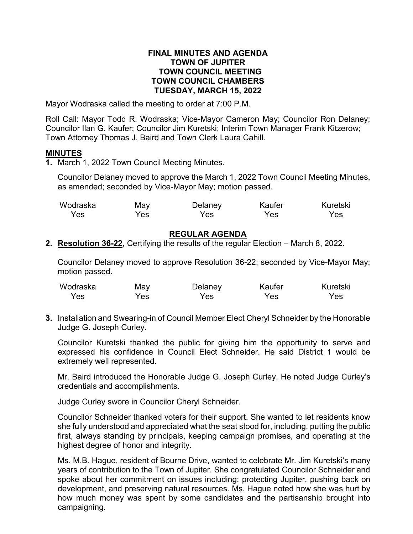#### **FINAL MINUTES AND AGENDA TOWN OF JUPITER TOWN COUNCIL MEETING TOWN COUNCIL CHAMBERS TUESDAY, MARCH 15, 2022**

Mayor Wodraska called the meeting to order at 7:00 P.M.

Roll Call: Mayor Todd R. Wodraska; Vice-Mayor Cameron May; Councilor Ron Delaney; Councilor Ilan G. Kaufer; Councilor Jim Kuretski; Interim Town Manager Frank Kitzerow; Town Attorney Thomas J. Baird and Town Clerk Laura Cahill.

### **MINUTES**

**1.** March 1, 2022 Town Council Meeting Minutes.

Councilor Delaney moved to approve the March 1, 2022 Town Council Meeting Minutes, as amended; seconded by Vice-Mayor May; motion passed.

| Wodraska | May | Delaney | Kaufer | Kuretski |
|----------|-----|---------|--------|----------|
| Yes      | Yes | Yes     | Yes    | Yes      |

## **REGULAR AGENDA**

**2. Resolution 36-22,** Certifying the results of the regular Election – March 8, 2022.

Councilor Delaney moved to approve Resolution 36-22; seconded by Vice-Mayor May; motion passed.

| Wodraska | May | Delaney | Kaufer | Kuretski |
|----------|-----|---------|--------|----------|
| Yes      | Yes | Yes     | Yes    | Yes      |

**3.** Installation and Swearing-in of Council Member Elect Cheryl Schneider by the Honorable Judge G. Joseph Curley.

Councilor Kuretski thanked the public for giving him the opportunity to serve and expressed his confidence in Council Elect Schneider. He said District 1 would be extremely well represented.

Mr. Baird introduced the Honorable Judge G. Joseph Curley. He noted Judge Curley's credentials and accomplishments.

Judge Curley swore in Councilor Cheryl Schneider.

Councilor Schneider thanked voters for their support. She wanted to let residents know she fully understood and appreciated what the seat stood for, including, putting the public first, always standing by principals, keeping campaign promises, and operating at the highest degree of honor and integrity.

Ms. M.B. Hague, resident of Bourne Drive, wanted to celebrate Mr. Jim Kuretski's many years of contribution to the Town of Jupiter. She congratulated Councilor Schneider and spoke about her commitment on issues including; protecting Jupiter, pushing back on development, and preserving natural resources. Ms. Hague noted how she was hurt by how much money was spent by some candidates and the partisanship brought into campaigning.